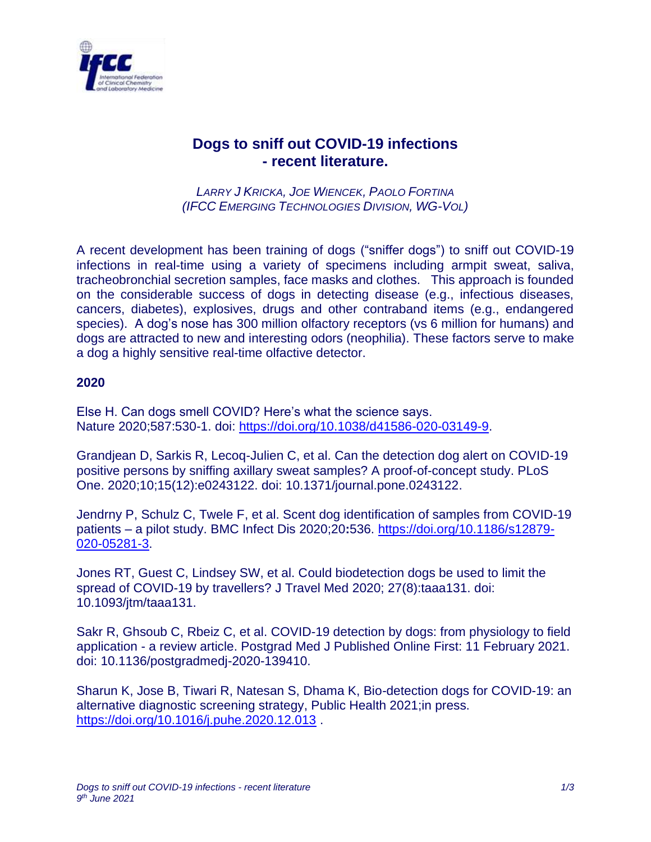

## **Dogs to sniff out COVID-19 infections - recent literature.**

*LARRY J KRICKA, JOE WIENCEK, PAOLO FORTINA (IFCC EMERGING TECHNOLOGIES DIVISION, WG-VOL)*

A recent development has been training of dogs ("sniffer dogs") to sniff out COVID-19 infections in real-time using a variety of specimens including armpit sweat, saliva, tracheobronchial secretion samples, face masks and clothes. This approach is founded on the considerable success of dogs in detecting disease (e.g., infectious diseases, cancers, diabetes), explosives, drugs and other contraband items (e.g., endangered species). A dog's nose has 300 million olfactory receptors (vs 6 million for humans) and dogs are attracted to new and interesting odors (neophilia). These factors serve to make a dog a highly sensitive real-time olfactive detector.

## **2020**

Else H. Can dogs smell COVID? Here's what the science says. Nature 2020;587:530-1. doi: [https://doi.org/10.1038/d41586-020-03149-9.](https://doi.org/10.1038/d41586-020-03149-9)

Grandjean D, Sarkis R, Lecoq-Julien C, et al. Can the detection dog alert on COVID-19 positive persons by sniffing axillary sweat samples? A proof-of-concept study. PLoS One. 2020;10;15(12):e0243122. doi: 10.1371/journal.pone.0243122.

Jendrny P, Schulz C, Twele F, et al. Scent dog identification of samples from COVID-19 patients – a pilot study. BMC Infect Dis 2020;20**:**536. [https://doi.org/10.1186/s12879-](https://doi.org/10.1186/s12879-020-05281-3) [020-05281-3.](https://doi.org/10.1186/s12879-020-05281-3)

Jones RT, Guest C, Lindsey SW, et al. Could biodetection dogs be used to limit the spread of COVID-19 by travellers? J Travel Med 2020; 27(8):taaa131. doi: 10.1093/jtm/taaa131.

Sakr R, Ghsoub C, Rbeiz C, et al. COVID-19 detection by dogs: from physiology to field application - a review article. Postgrad Med J Published Online First: 11 February 2021. doi: 10.1136/postgradmedj-2020-139410.

Sharun K, Jose B, Tiwari R, Natesan S, Dhama K, Bio-detection dogs for COVID-19: an alternative diagnostic screening strategy, Public Health 2021;in press. <https://doi.org/10.1016/j.puhe.2020.12.013> .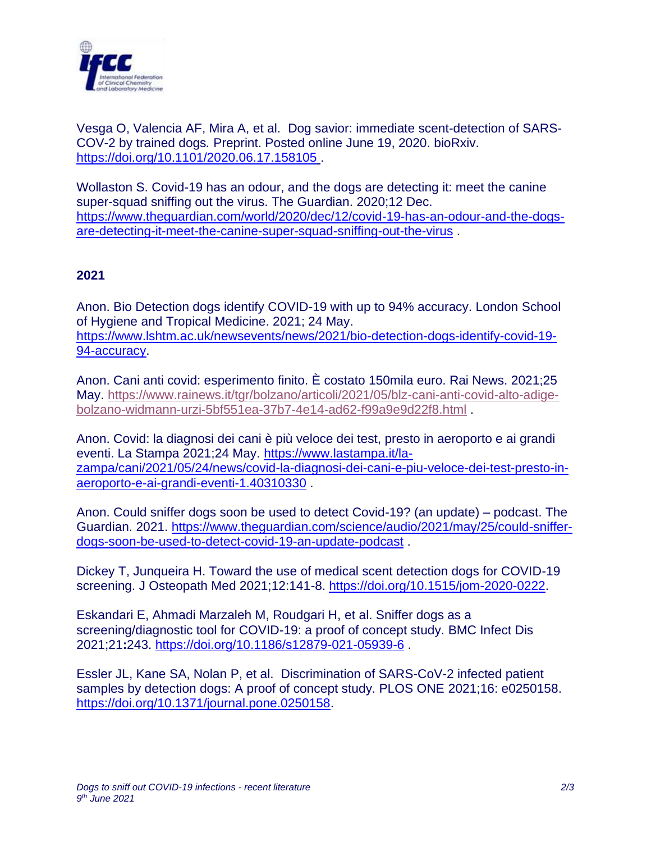

Vesga O, Valencia AF, Mira A, et al. Dog savior: immediate scent-detection of SARS-COV-2 by trained dogs*.* Preprint. Posted online June 19, 2020. bioRxiv. <https://doi.org/10.1101/2020.06.17.158105>

Wollaston S. Covid-19 has an odour, and the dogs are detecting it: meet the canine super-squad sniffing out the virus. The Guardian. 2020;12 Dec. [https://www.theguardian.com/world/2020/dec/12/covid-19-has-an-odour-and-the-dogs](https://www.theguardian.com/world/2020/dec/12/covid-19-has-an-odour-and-the-dogs-are-detecting-it-meet-the-canine-super-squad-sniffing-out-the-virus)[are-detecting-it-meet-the-canine-super-squad-sniffing-out-the-virus](https://www.theguardian.com/world/2020/dec/12/covid-19-has-an-odour-and-the-dogs-are-detecting-it-meet-the-canine-super-squad-sniffing-out-the-virus) .

## **2021**

Anon. Bio Detection dogs identify COVID-19 with up to 94% accuracy. London School of Hygiene and Tropical Medicine. 2021; 24 May. [https://www.lshtm.ac.uk/newsevents/news/2021/bio-detection-dogs-identify-covid-19-](https://www.lshtm.ac.uk/newsevents/news/2021/bio-detection-dogs-identify-covid-19-94-accuracy) [94-accuracy.](https://www.lshtm.ac.uk/newsevents/news/2021/bio-detection-dogs-identify-covid-19-94-accuracy)

Anon. Cani anti covid: esperimento finito. È costato 150mila euro. Rai News. 2021;25 May. [https://www.rainews.it/tgr/bolzano/articoli/2021/05/blz-cani-anti-covid-alto-adige](https://www.rainews.it/tgr/bolzano/articoli/2021/05/blz-cani-anti-covid-alto-adige-bolzano-widmann-urzi-5bf551ea-37b7-4e14-ad62-f99a9e9d22f8.html)[bolzano-widmann-urzi-5bf551ea-37b7-4e14-ad62-f99a9e9d22f8.html](https://www.rainews.it/tgr/bolzano/articoli/2021/05/blz-cani-anti-covid-alto-adige-bolzano-widmann-urzi-5bf551ea-37b7-4e14-ad62-f99a9e9d22f8.html) .

Anon. Covid: la diagnosi dei cani è più veloce dei test, presto in aeroporto e ai grandi eventi. La Stampa 2021;24 May. [https://www.lastampa.it/la](https://www.lastampa.it/la-zampa/cani/2021/05/24/news/covid-la-diagnosi-dei-cani-e-piu-veloce-dei-test-presto-in-aeroporto-e-ai-grandi-eventi-1.40310330)[zampa/cani/2021/05/24/news/covid-la-diagnosi-dei-cani-e-piu-veloce-dei-test-presto-in](https://www.lastampa.it/la-zampa/cani/2021/05/24/news/covid-la-diagnosi-dei-cani-e-piu-veloce-dei-test-presto-in-aeroporto-e-ai-grandi-eventi-1.40310330)[aeroporto-e-ai-grandi-eventi-1.40310330](https://www.lastampa.it/la-zampa/cani/2021/05/24/news/covid-la-diagnosi-dei-cani-e-piu-veloce-dei-test-presto-in-aeroporto-e-ai-grandi-eventi-1.40310330) .

Anon. Could sniffer dogs soon be used to detect Covid-19? (an update) – podcast. The Guardian. 2021. [https://www.theguardian.com/science/audio/2021/may/25/could-sniffer](https://www.theguardian.com/science/audio/2021/may/25/could-sniffer-dogs-soon-be-used-to-detect-covid-19-an-update-podcast)[dogs-soon-be-used-to-detect-covid-19-an-update-podcast](https://www.theguardian.com/science/audio/2021/may/25/could-sniffer-dogs-soon-be-used-to-detect-covid-19-an-update-podcast) .

Dickey T, Junqueira H. Toward the use of medical scent detection dogs for COVID-19 screening. J Osteopath Med 2021;12:141-8. [https://doi.org/10.1515/jom-2020-0222.](https://doi.org/10.1515/jom-2020-0222)

Eskandari E, Ahmadi Marzaleh M, Roudgari H, et al. Sniffer dogs as a screening/diagnostic tool for COVID-19: a proof of concept study. BMC Infect Dis 2021;21**:**243.<https://doi.org/10.1186/s12879-021-05939-6> .

Essler JL, Kane SA, Nolan P, et al. Discrimination of SARS-CoV-2 infected patient samples by detection dogs: A proof of concept study. PLOS ONE 2021;16: e0250158. [https://doi.org/10.1371/journal.pone.0250158.](https://doi.org/10.1371/journal.pone.0250158)